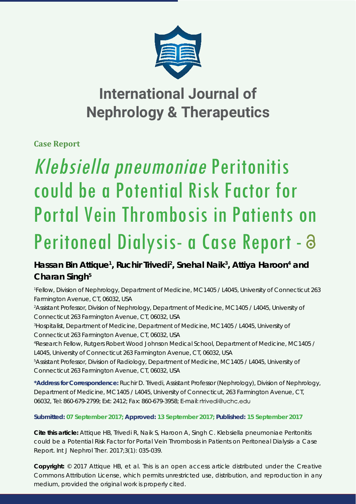

## **International Journal of Nephrology & Therapeutics**

**Case Report**

# Klebsiella pneumoniae Peritonitis could be a Potential Risk Factor for Portal Vein Thrombosis in Patients on Peritoneal Dialysis- a Case Report - a

### Hassan Bin Attique<sup>1</sup>, Ruchir Trivedi<sup>2</sup>, Snehal Naik<sup>3</sup>, Attiya Haroon<sup>4</sup> and **Charan Singh5**

*1 Fellow, Division of Nephrology, Department of Medicine, MC1405 / L4045, University of Connecticut 263 Farmington Avenue, CT, 06032, USA*

*2 Assistant Professor, Division of Nephrology, Department of Medicine, MC1405 / L4045, University of Connecticut 263 Farmington Avenue, CT, 06032, USA*

*3 Hospitalist, Department of Medicine, Department of Medicine, MC1405 / L4045, University of Connecticut 263 Farmington Avenue, CT, 06032, USA*

*4 Research Fellow, Rutgers Robert Wood Johnson Medical School, Department of Medicine, MC1405 / L4045, University of Connecticut 263 Farmington Avenue, CT, 06032, USA*

*5 Assistant Professor, Division of Radiology, Department of Medicine, MC1405 / L4045, University of Connecticut 263 Farmington Avenue, CT, 06032, USA*

**\*Address for Correspondence:** Ruchir D. Trivedi, Assistant Professor (Nephrology), Division of Nephrology, Department of Medicine, MC1405 / L4045, University of Connecticut, 263 Farmington Avenue, CT, 06032, Tel: 860-679-2799; Ext: 2412; Fax: 860-679-3958; E-mail:

**Submitted: 07 September 2017; Approved: 13 September 2017; Published: 15 September 2017**

**Cite this article:** Attique HB, Trivedi R, Naik S, Haroon A, Singh C. *Klebsiella pneumoniae* Peritonitis could be a Potential Risk Factor for Portal Vein Thrombosis in Patients on Peritoneal Dialysis- a Case Report. Int J Nephrol Ther. 2017;3(1): 035-039.

**Copyright:** © 2017 Attique HB, et al. This is an open access article distributed under the Creative Commons Attribution License, which permits unrestricted use, distribution, and reproduction in any medium, provided the original work is properly cited.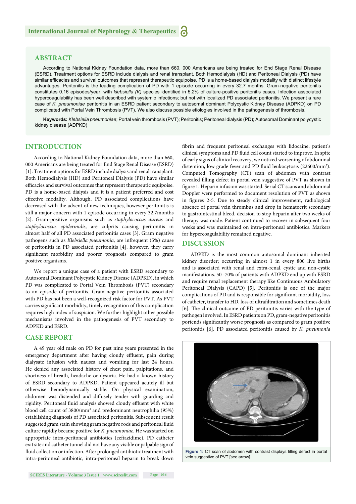#### **ABSTRACT**

According to National Kidney Foundation data, more than 660, 000 Americans are being treated for End Stage Renal Disease (ESRD). Treatment options for ESRD include dialysis and renal transplant. Both Hemodialysis (HD) and Peritoneal Dialysis (PD) have similar efficacies and survival outcomes that represent therapeutic equipoise. PD is a home-based dialysis modality with distinct lifestyle advantages. Peritonitis is the leading complication of PD with 1 episode occurring in every 32.7 months. Gram-negative peritonitis constitutes 0.16 episodes/year; with *klebsiella (K)* species identified in 5.2% of culture-positive peritonitis cases. Infection associated hypercoagulability has been well described with systemic infections; but not with localized PD associated peritonitis. We present a rare case of *K. pneumoniae* peritonitis in an ESRD patient secondary to autosomal dominant Polycystic Kidney Disease (ADPKD) on PD complicated with Portal Vein Thrombosis (PVT). We also discuss possible etiologies involved in the pathogenesis of thrombosis.

**Keywords:** *Klebsiella pneumoniae*; Portal vein thrombosis (PVT); Peritonitis; Peritoneal dialysis (PD); Autosomal Dominant polycystic kidney disease (ADPKD)

#### **INTRODUCTION**

According to National Kidney Foundation data, more than 660, 000 Americans are being treated for End Stage Renal Disease (ESRD) [1]. Treatment options for ESRD include dialysis and renal transplant. Both Hemodialysis (HD) and Peritoneal Dialysis (PD) have similar efficacies and survival outcomes that represent therapeutic equipoise. PD is a home-based dialysis and it is a patient preferred and cost effective modality. Although, PD associated complications have decreased with the advent of new techniques, however peritonitis is still a major concern with 1 episode occurring in every 32.7months [2]. Gram-positive organisms such as *staphylococcus aureus* and *staphylococcus epidermidis*, are culprits causing peritonitis in almost half of all PD associated peritonitis cases [3]. Gram negative pathogens such as *Klebsiella pneumonia*, are infrequent (5%) cause of peritonitis in PD associated peritonitis [4], however, they carry significant morbidity and poorer prognosis compared to gram positive organisms.

We report a unique case of a patient with ESRD secondary to Autosomal Dominant Polycystic Kidney Disease (ADPKD), in which PD was complicated to Portal Vein Thrombosis (PVT) secondary to an episode of peritonitis. Gram-negative peritonitis associated with PD has not been a well-recognized risk factor for PVT. As PVT carries significant morbidity, timely recognition of this complication requires high index of suspicion. We further highlight other possible mechanisms involved in the pathogenesis of PVT secondary to ADPKD and ESRD.

#### **CASE REPORT**

A 49 year old male on PD for past nine years presented in the emergency department after having cloudy effluent, pain during dialysate infusion with nausea and vomiting for last 24 hours. He denied any associated history of chest pain, palpitations, and shortness of breath, headache or dysuria. He had a known history of ESRD secondary to ADPKD. Patient appeared acutely ill but otherwise hemodynamically stable. On physical examination, abdomen was distended and diffusely tender with guarding and rigidity. Peritoneal fluid analysis showed cloudy effluent with white blood cell count of 3800/mm<sup>3</sup> and predominant neutrophilia (95%) establishing diagnosis of PD associated peritonitis. Subsequent result suggested gram stain showing gram negative rods and peritoneal fluid culture rapidly became positive for *K. pneumoniae*. He was started on appropriate intra-peritoneal antibiotics (ceftazidime). PD catheter exit site and catheter tunnel did not have any visible or palpable sign of fluid collection or infection. After prolonged antibiotic treatment with intra-peritoneal antibiotic, intra-peritoneal heparin to break down

fibrin and frequent peritoneal exchanges with lidocaine, patient's clinical symptoms and PD fluid cell count started to improve. In spite of early signs of clinical recovery, we noticed worsening of abdominal distention, low grade fever and PD fluid leukocytosis (22600/mm<sup>3</sup>). Computed Tomography (CT) scan of abdomen with contrast revealed filling defect in portal vein suggestive of PVT as shown in figure 1. Heparin infusion was started. Serial CT scans and abdominal Doppler were performed to document resolution of PVT as shown in figures 2-5. Due to steady clinical improvement, radiological absence of portal vein thrombus and drop in hematocrit secondary to gastrointestinal bleed, decision to stop heparin after two weeks of therapy was made. Patient continued to recover in subsequent four weeks and was maintained on intra-peritoneal antibiotics. Markers for hypercoagulability remained negative.

#### **DISCUSSION**

ADPKD is the most common autosomal dominant inherited kidney disorder; occurring in almost 1 in every 800 live births and is associated with renal and extra-renal, cystic and non-cystic manifestations. 50 -70% of patients with ADPKD end up with ESRD and require renal replacement therapy like Continuous Ambulatory Peritoneal Dialysis (CAPD) [5]. Peritonitis is one of the major complications of PD and is responsible for significant morbidity, loss of catheter, transfer to HD, loss of ultrafiltration and sometimes death [6]. The clinical outcome of PD peritonitis varies with the type of pathogen involved. In ESRD patients on PD, gram-negative peritonitis portends significantly worse prognosis as compared to gram positive peritonitis [6]. PD associated peritonitis caused by *K. pneumonia* 



Figure 1: CT scan of abdomen with contrast displays filling defect in portal vein suggestive of PVT [see arrow].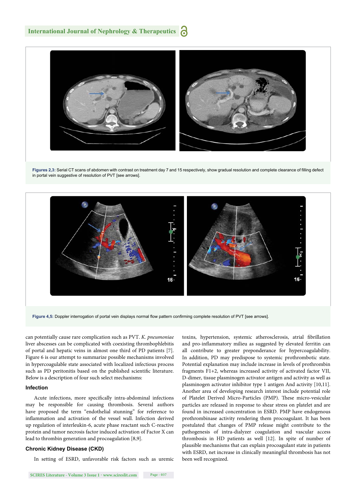

Figures 2,3: Serial CT scans of abdomen with contrast on treatment day 7 and 15 respectively, show gradual resolution and complete clearance of filling defect in portal vein suggestive of resolution of PVT [see arrows].



Figure 4.5: Doppler interrogation of portal vein displays normal flow pattern confirming complete resolution of PVT [see arrows].

can potentially cause rare complication such as PVT. *K. pneumoniae* liver abscesses can be complicated with coexisting thrombophlebitis of portal and hepatic veins in almost one third of PD patients [7]. Figure 6 is our attempt to summarize possible mechanisms involved in hypercoagulable state associated with localized infectious process such as PD peritonitis based on the published scientific literature. Below is a description of four such select mechanisms:

#### **Infection**

Acute infections, more specifically intra-abdominal infections may be responsible for causing thrombosis. Several authors have proposed the term "endothelial stunning" for reference to inflammation and activation of the vessel wall. Infection derived up regulation of interleukin-6, acute phase reactant such C-reactive protein and tumor necrosis factor induced activation of Factor X can lead to thrombin generation and procoagulation [8,9].

#### **Chronic Kidney Disease (CKD)**

In setting of ESRD, unfavorable risk factors such as uremic

toxins, hypertension, systemic atherosclerosis, atrial fibrillation and pro-inflammatory milieu as suggested by elevated ferritin can all contribute to greater preponderance for hypercoagulability. In addition, PD may predispose to systemic prothrombotic state. Potential explanation may include increase in levels of prothrombin fragments F1+2, whereas increased activity of activated factor VII, D-dimer, tissue plasminogen activator antigen and activity as well as plasminogen activator inhibitor type 1 antigen And activity [10,11]. Another area of developing research interest include potential role of Platelet Derived Micro-Particles (PMP). These micro-vesicular particles are released in response to shear stress on platelet and are found in increased concentration in ESRD. PMP have endogenous prothrombinase activity rendering them procoagulant. It has been postulated that changes of PMP release might contribute to the pathogenesis of intra-dialyzer coagulation and vascular access thrombosis in HD patients as well [12]. In spite of number of plausible mechanisms that can explain procoagulant state in patients with ESRD, net increase in clinically meaningful thrombosis has not been well recognized.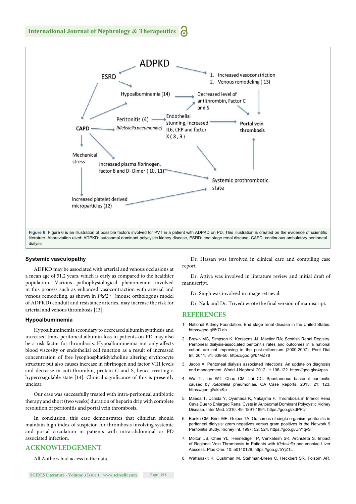

#### **Systemic vasculopathy**

ADPKD may be associated with arterial and venous occlusions at a mean age of 51.2 years, which is early as compared to the healthier population. Various pathophysiological phenomenon involved in this process such as enhanced vasocontraction with arterial and venous remodeling, as shown in *Pkd2*+/− (mouse orthologous model of ADPKD) conduit and resistance arteries, may increase the risk for arterial and venous thrombosis [13].

#### **Hypoalbuminemia**

Hypoalbuminemia secondary to decreased albumin synthesis and increased trans-peritoneal albumin loss in patients on PD may also be a risk factor for thrombosis. Hypoalbuminemia not only affects blood viscosity or endothelial cell function as a result of increased concentration of free lysophosphatidylcholine altering erythrocyte structure but also causes increase in fibrinogen and factor VIII levels and decrease in anti-thrombin, protein C and S, hence creating a hypercoagulable state [14]. Clinical significance of this is presently unclear.

Our case was successfully treated with intra-peritoneal antibiotic therapy and short (two weeks) duration of heparin drip with complete resolution of peritonitis and portal vein thrombosis.

In conclusion, this case demonstrates that clinician should maintain high index of suspicion for thrombosis involving systemic and portal circulation in patients with intra-abdominal or PD associated infection.

#### **ACKNOWLEDGEMENT**

All Authors had access to the data.

Dr. Hassan was involved in clinical care and compiling case report.

Dr. Attiya was involved in literature review and initial draft of manuscript.

Dr. Singh was involved in image retrieval.

Dr. Naik and Dr. Trivedi wrote the final version of manuscript.

#### **REFERENCES**

- 1. National Kidney Foundation. End stage renal disease in the United States. https://goo.gl/8t7Leb
- 2. Brown MC, Simpson K, Kerssens JJ, Mactier RA; Scottish Renal Registry. Peritoneal dialysis-associated peritonitis rates and outcomes in a national cohort are not improving in the post-millennium (2000-2007). Perit Dial Int. 2011; 31: 639-50. https://goo.gl/k7MZ78
- 3. Jacob A. Peritoneal dialysis associated infections: An update on diagnosis and management. World J Nephrol. 2012; 1: 106-122. https://goo.gl/q4rpss
- 4. Wu TL, Lin WT, Chao CM, Lai CC. Spontaneous bacterial peritonitis caused by *Klebsiella* pneumoniae*.* OA Case Reports. 2013; 21: 123. https://goo.gl/akhiKp
- 5. Maeda T, Uchida Y, Oyamada K, Nakajima F. Thrombosis in Inferior Vena Cava Due to Enlarged Renal Cysts in Autosomal Dominant Polycystic Kidney Disease. Inter Med. 2010; 49: 1891-1894. https://goo.gl/3dPPcT
- 6. Bunke CM, Brier ME, Golper TA. Outcomes of single organism peritonitis in peritoneal dialysis: gram negatives versus gram positives in the Network 9 Peritonitis Study. Kidney Int. 1997; 52: 524. https://goo.gl/UhYqvS
- 7. Molton JS, Chee YL, Hennedige TP, Venkatesh SK, Archuleta S. Impact of Regional Vein Thrombosis in Patients with *Klebsiella* pneumoniae Liver Abscess. Plos One. 10: e0140129. https://goo.gl/5YjZ1L
- 8. Wattanakit K, Cushman M, Stehman-Breen C, Heckbert SR, Folsom AR.